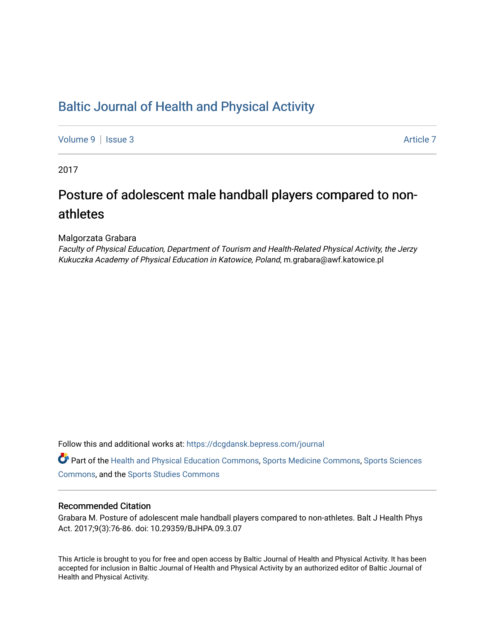## [Baltic Journal of Health and Physical Activity](https://dcgdansk.bepress.com/journal)

[Volume 9](https://dcgdansk.bepress.com/journal/vol9) | [Issue 3](https://dcgdansk.bepress.com/journal/vol9/iss3) Article 7

2017

## Posture of adolescent male handball players compared to nonathletes

Malgorzata Grabara

Faculty of Physical Education, Department of Tourism and Health-Related Physical Activity, the Jerzy Kukuczka Academy of Physical Education in Katowice, Poland, m.grabara@awf.katowice.pl

Follow this and additional works at: [https://dcgdansk.bepress.com/journal](https://dcgdansk.bepress.com/journal?utm_source=dcgdansk.bepress.com%2Fjournal%2Fvol9%2Fiss3%2F7&utm_medium=PDF&utm_campaign=PDFCoverPages)

Part of the [Health and Physical Education Commons](http://network.bepress.com/hgg/discipline/1327?utm_source=dcgdansk.bepress.com%2Fjournal%2Fvol9%2Fiss3%2F7&utm_medium=PDF&utm_campaign=PDFCoverPages), [Sports Medicine Commons,](http://network.bepress.com/hgg/discipline/1331?utm_source=dcgdansk.bepress.com%2Fjournal%2Fvol9%2Fiss3%2F7&utm_medium=PDF&utm_campaign=PDFCoverPages) [Sports Sciences](http://network.bepress.com/hgg/discipline/759?utm_source=dcgdansk.bepress.com%2Fjournal%2Fvol9%2Fiss3%2F7&utm_medium=PDF&utm_campaign=PDFCoverPages) [Commons](http://network.bepress.com/hgg/discipline/759?utm_source=dcgdansk.bepress.com%2Fjournal%2Fvol9%2Fiss3%2F7&utm_medium=PDF&utm_campaign=PDFCoverPages), and the [Sports Studies Commons](http://network.bepress.com/hgg/discipline/1198?utm_source=dcgdansk.bepress.com%2Fjournal%2Fvol9%2Fiss3%2F7&utm_medium=PDF&utm_campaign=PDFCoverPages) 

#### Recommended Citation

Grabara M. Posture of adolescent male handball players compared to non-athletes. Balt J Health Phys Act. 2017;9(3):76-86. doi: 10.29359/BJHPA.09.3.07

This Article is brought to you for free and open access by Baltic Journal of Health and Physical Activity. It has been accepted for inclusion in Baltic Journal of Health and Physical Activity by an authorized editor of Baltic Journal of Health and Physical Activity.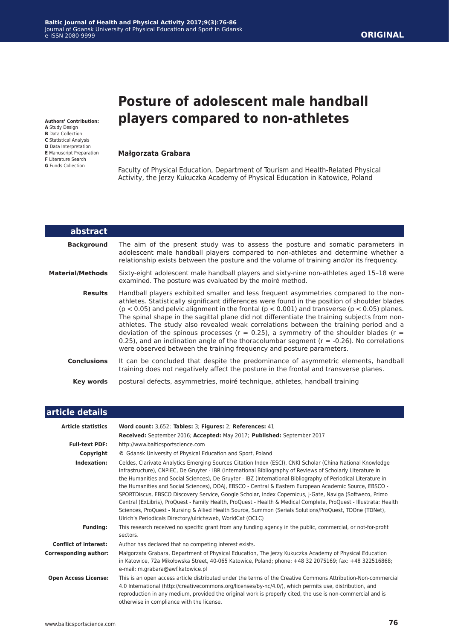# **Posture of adolescent male handball players compared to non-athletes**

#### **Małgorzata Grabara**

**Authors' Contribution: A** Study Design **B** Data Collection **C** Statistical Analysis **D** Data Interpretation **E** Manuscript Preparation **F** Literature Search **G** Funds Collection

Г

Faculty of Physical Education, Department of Tourism and Health-Related Physical Activity, the Jerzy Kukuczka Academy of Physical Education in Katowice, Poland

| abstract           |                                                                                                                                                                                                                                                                                                                                                                                                                                                                                                                                                                                                                                                                                                                                                                |
|--------------------|----------------------------------------------------------------------------------------------------------------------------------------------------------------------------------------------------------------------------------------------------------------------------------------------------------------------------------------------------------------------------------------------------------------------------------------------------------------------------------------------------------------------------------------------------------------------------------------------------------------------------------------------------------------------------------------------------------------------------------------------------------------|
| <b>Background</b>  | The aim of the present study was to assess the posture and somatic parameters in<br>adolescent male handball players compared to non-athletes and determine whether a<br>relationship exists between the posture and the volume of training and/or its frequency.                                                                                                                                                                                                                                                                                                                                                                                                                                                                                              |
| Material/Methods   | Sixty-eight adolescent male handball players and sixty-nine non-athletes aged 15-18 were<br>examined. The posture was evaluated by the moiré method.                                                                                                                                                                                                                                                                                                                                                                                                                                                                                                                                                                                                           |
| <b>Results</b>     | Handball players exhibited smaller and less frequent asymmetries compared to the non-<br>athletes. Statistically significant differences were found in the position of shoulder blades<br>$(p < 0.05)$ and pelvic alignment in the frontal $(p < 0.001)$ and transverse $(p < 0.05)$ planes.<br>The spinal shape in the sagittal plane did not differentiate the training subjects from non-<br>athletes. The study also revealed weak correlations between the training period and a<br>deviation of the spinous processes ( $r = 0.25$ ), a symmetry of the shoulder blades ( $r =$<br>0.25), and an inclination angle of the thoracolumbar segment ( $r = -0.26$ ). No correlations<br>were observed between the training frequency and posture parameters. |
| <b>Conclusions</b> | It can be concluded that despite the predominance of asymmetric elements, handball<br>training does not negatively affect the posture in the frontal and transverse planes.                                                                                                                                                                                                                                                                                                                                                                                                                                                                                                                                                                                    |
| Key words          | postural defects, asymmetries, moiré technique, athletes, handball training                                                                                                                                                                                                                                                                                                                                                                                                                                                                                                                                                                                                                                                                                    |
|                    |                                                                                                                                                                                                                                                                                                                                                                                                                                                                                                                                                                                                                                                                                                                                                                |

| article details              |                                                                                                                                                                                                                                                                                                                                                                                                                                                                                                                                                                                                                                                                                                                                                                                                                                                               |
|------------------------------|---------------------------------------------------------------------------------------------------------------------------------------------------------------------------------------------------------------------------------------------------------------------------------------------------------------------------------------------------------------------------------------------------------------------------------------------------------------------------------------------------------------------------------------------------------------------------------------------------------------------------------------------------------------------------------------------------------------------------------------------------------------------------------------------------------------------------------------------------------------|
| <b>Article statistics</b>    | Word count: 3,652; Tables: 3; Figures: 2; References: 41                                                                                                                                                                                                                                                                                                                                                                                                                                                                                                                                                                                                                                                                                                                                                                                                      |
|                              | Received: September 2016; Accepted: May 2017; Published: September 2017                                                                                                                                                                                                                                                                                                                                                                                                                                                                                                                                                                                                                                                                                                                                                                                       |
| <b>Full-text PDF:</b>        | http://www.balticsportscience.com                                                                                                                                                                                                                                                                                                                                                                                                                                                                                                                                                                                                                                                                                                                                                                                                                             |
| Copyright                    | © Gdansk University of Physical Education and Sport, Poland                                                                                                                                                                                                                                                                                                                                                                                                                                                                                                                                                                                                                                                                                                                                                                                                   |
| Indexation:                  | Celdes, Clarivate Analytics Emerging Sources Citation Index (ESCI), CNKI Scholar (China National Knowledge<br>Infrastructure), CNPIEC, De Gruyter - IBR (International Bibliography of Reviews of Scholarly Literature in<br>the Humanities and Social Sciences), De Gruyter - IBZ (International Bibliography of Periodical Literature in<br>the Humanities and Social Sciences), DOAI, EBSCO - Central & Eastern European Academic Source, EBSCO -<br>SPORTDiscus, EBSCO Discovery Service, Google Scholar, Index Copernicus, J-Gate, Naviga (Softweco, Primo<br>Central (ExLibris), ProQuest - Family Health, ProQuest - Health & Medical Complete, ProQuest - Illustrata: Health<br>Sciences, ProQuest - Nursing & Allied Health Source, Summon (Serials Solutions/ProQuest, TDOne (TDNet),<br>Ulrich's Periodicals Directory/ulrichsweb, WorldCat (OCLC) |
| <b>Funding:</b>              | This research received no specific grant from any funding agency in the public, commercial, or not-for-profit<br>sectors.                                                                                                                                                                                                                                                                                                                                                                                                                                                                                                                                                                                                                                                                                                                                     |
| <b>Conflict of interest:</b> | Author has declared that no competing interest exists.                                                                                                                                                                                                                                                                                                                                                                                                                                                                                                                                                                                                                                                                                                                                                                                                        |
| <b>Corresponding author:</b> | Małgorzata Grabara, Department of Physical Education, The Jerzy Kukuczka Academy of Physical Education<br>in Katowice, 72a Mikołowska Street, 40-065 Katowice, Poland; phone: +48 32 2075169; fax: +48 322516868;<br>e-mail: m.grabara@awf.katowice.pl                                                                                                                                                                                                                                                                                                                                                                                                                                                                                                                                                                                                        |
| <b>Open Access License:</b>  | This is an open access article distributed under the terms of the Creative Commons Attribution-Non-commercial<br>4.0 International (http://creativecommons.org/licenses/by-nc/4.0/), which permits use, distribution, and<br>reproduction in any medium, provided the original work is properly cited, the use is non-commercial and is<br>otherwise in compliance with the license.                                                                                                                                                                                                                                                                                                                                                                                                                                                                          |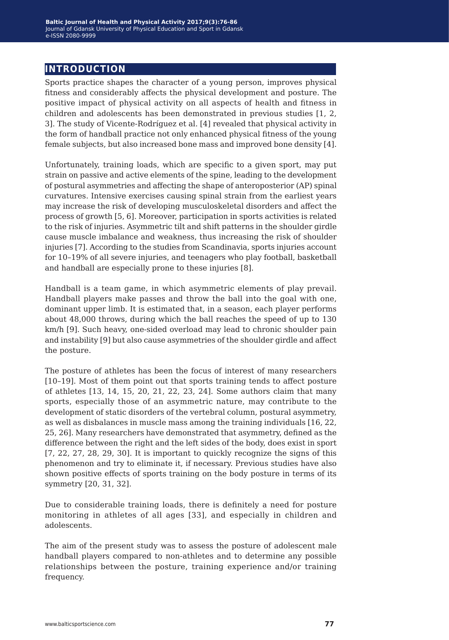## **introduction**

Sports practice shapes the character of a young person, improves physical fitness and considerably affects the physical development and posture. The positive impact of physical activity on all aspects of health and fitness in children and adolescents has been demonstrated in previous studies [1, 2, 3]. The study of Vicente-Rodríguez et al. [4] revealed that physical activity in the form of handball practice not only enhanced physical fitness of the young female subjects, but also increased bone mass and improved bone density [4].

Unfortunately, training loads, which are specific to a given sport, may put strain on passive and active elements of the spine, leading to the development of postural asymmetries and affecting the shape of anteroposterior (AP) spinal curvatures. Intensive exercises causing spinal strain from the earliest years may increase the risk of developing musculoskeletal disorders and affect the process of growth [5, 6]. Moreover, participation in sports activities is related to the risk of injuries. Asymmetric tilt and shift patterns in the shoulder girdle cause muscle imbalance and weakness, thus increasing the risk of shoulder injuries [7]. According to the studies from Scandinavia, sports injuries account for 10–19% of all severe injuries, and teenagers who play football, basketball and handball are especially prone to these injuries [8].

Handball is a team game, in which asymmetric elements of play prevail. Handball players make passes and throw the ball into the goal with one, dominant upper limb. It is estimated that, in a season, each player performs about 48,000 throws, during which the ball reaches the speed of up to 130 km/h [9]. Such heavy, one-sided overload may lead to chronic shoulder pain and instability [9] but also cause asymmetries of the shoulder girdle and affect the posture.

The posture of athletes has been the focus of interest of many researchers [10–19]. Most of them point out that sports training tends to affect posture of athletes [13, 14, 15, 20, 21, 22, 23, 24]. Some authors claim that many sports, especially those of an asymmetric nature, may contribute to the development of static disorders of the vertebral column, postural asymmetry, as well as disbalances in muscle mass among the training individuals [16, 22, 25, 26]. Many researchers have demonstrated that asymmetry, defined as the difference between the right and the left sides of the body, does exist in sport [7, 22, 27, 28, 29, 30]. It is important to quickly recognize the signs of this phenomenon and try to eliminate it, if necessary. Previous studies have also shown positive effects of sports training on the body posture in terms of its symmetry [20, 31, 32].

Due to considerable training loads, there is definitely a need for posture monitoring in athletes of all ages [33], and especially in children and adolescents.

The aim of the present study was to assess the posture of adolescent male handball players compared to non-athletes and to determine any possible relationships between the posture, training experience and/or training frequency.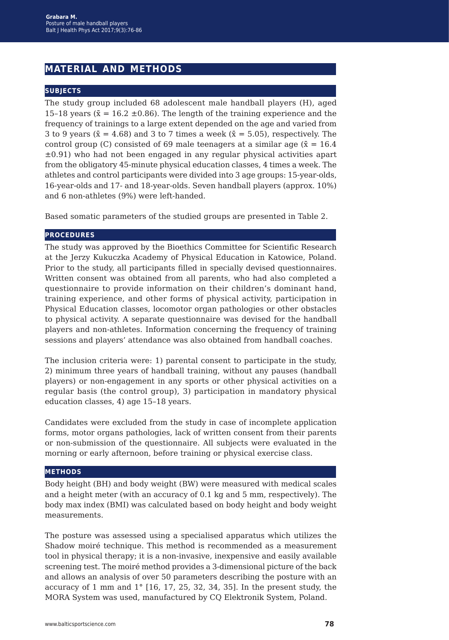## **material and methods**

#### **subjects**

The study group included 68 adolescent male handball players (H), aged 15–18 years ( $\bar{x}$  = 16.2 ±0.86). The length of the training experience and the frequency of trainings to a large extent depended on the age and varied from 3 to 9 years ( $\bar{x}$  = 4.68) and 3 to 7 times a week ( $\bar{x}$  = 5.05), respectively. The control group (C) consisted of 69 male teenagers at a similar age ( $\bar{x} = 16.4$ )  $\pm 0.91$ ) who had not been engaged in any regular physical activities apart from the obligatory 45-minute physical education classes, 4 times a week. The athletes and control participants were divided into 3 age groups: 15-year-olds, 16-year-olds and 17- and 18-year-olds. Seven handball players (approx. 10%) and 6 non-athletes (9%) were left-handed.

Based somatic parameters of the studied groups are presented in Table 2.

#### **procedures**

The study was approved by the Bioethics Committee for Scientific Research at the Jerzy Kukuczka Academy of Physical Education in Katowice, Poland. Prior to the study, all participants filled in specially devised questionnaires. Written consent was obtained from all parents, who had also completed a questionnaire to provide information on their children's dominant hand, training experience, and other forms of physical activity, participation in Physical Education classes, locomotor organ pathologies or other obstacles to physical activity. A separate questionnaire was devised for the handball players and non-athletes. Information concerning the frequency of training sessions and players' attendance was also obtained from handball coaches.

The inclusion criteria were: 1) parental consent to participate in the study, 2) minimum three years of handball training, without any pauses (handball players) or non-engagement in any sports or other physical activities on a regular basis (the control group), 3) participation in mandatory physical education classes, 4) age 15–18 years.

Candidates were excluded from the study in case of incomplete application forms, motor organs pathologies, lack of written consent from their parents or non-submission of the questionnaire. All subjects were evaluated in the morning or early afternoon, before training or physical exercise class.

#### **methods**

Body height (BH) and body weight (BW) were measured with medical scales and a height meter (with an accuracy of 0.1 kg and 5 mm, respectively). The body max index (BMI) was calculated based on body height and body weight measurements.

The posture was assessed using a specialised apparatus which utilizes the Shadow moiré technique. This method is recommended as a measurement tool in physical therapy; it is a non-invasive, inexpensive and easily available screening test. The moiré method provides a 3-dimensional picture of the back and allows an analysis of over 50 parameters describing the posture with an accuracy of 1 mm and 1° [16, 17, 25, 32, 34, 35]. In the present study, the MORA System was used, manufactured by CQ Elektronik System, Poland.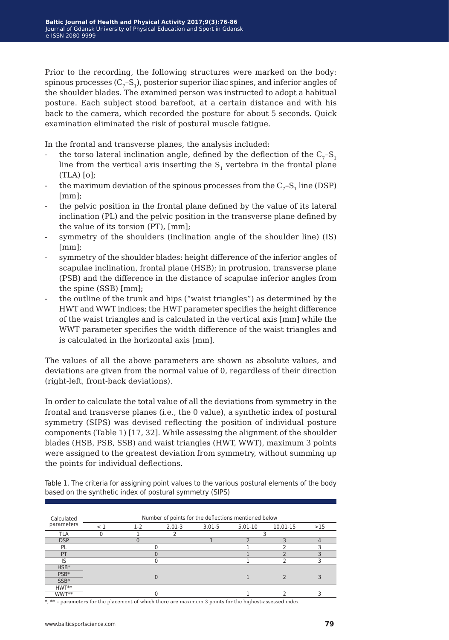Prior to the recording, the following structures were marked on the body: spinous processes  $(C<sub>z</sub>-S<sub>1</sub>)$ , posterior superior iliac spines, and inferior angles of the shoulder blades. The examined person was instructed to adopt a habitual posture. Each subject stood barefoot, at a certain distance and with his back to the camera, which recorded the posture for about 5 seconds. Quick examination eliminated the risk of postural muscle fatigue.

In the frontal and transverse planes, the analysis included:

- the torso lateral inclination angle, defined by the deflection of the  $C_7$ –S<sub>1</sub> line from the vertical axis inserting the  $S<sub>1</sub>$  vertebra in the frontal plane (TLA) [o];
- the maximum deviation of the spinous processes from the  $C_7$ –S<sub>1</sub> line (DSP) [mm];
- the pelvic position in the frontal plane defined by the value of its lateral inclination (PL) and the pelvic position in the transverse plane defined by the value of its torsion (PT), [mm];
- symmetry of the shoulders (inclination angle of the shoulder line) (IS) [mm];
- symmetry of the shoulder blades: height difference of the inferior angles of scapulae inclination, frontal plane (HSB); in protrusion, transverse plane (PSB) and the difference in the distance of scapulae inferior angles from the spine (SSB) [mm];
- the outline of the trunk and hips ("waist triangles") as determined by the HWT and WWT indices; the HWT parameter specifies the height difference of the waist triangles and is calculated in the vertical axis [mm] while the WWT parameter specifies the width difference of the waist triangles and is calculated in the horizontal axis [mm].

The values of all the above parameters are shown as absolute values, and deviations are given from the normal value of 0, regardless of their direction (right-left, front-back deviations).

In order to calculate the total value of all the deviations from symmetry in the frontal and transverse planes (i.e., the 0 value), a synthetic index of postural symmetry (SIPS) was devised reflecting the position of individual posture components (Table 1) [17, 32]. While assessing the alignment of the shoulder blades (HSB, PSB, SSB) and waist triangles (HWT, WWT), maximum 3 points were assigned to the greatest deviation from symmetry, without summing up the points for individual deflections.

Table 1. The criteria for assigning point values to the various postural elements of the body based on the synthetic index of postural symmetry (SIPS)

| Calculated<br>parameters | Number of points for the deflections mentioned below |       |            |            |             |          |     |  |  |
|--------------------------|------------------------------------------------------|-------|------------|------------|-------------|----------|-----|--|--|
|                          | ⊂ 1                                                  | $1-2$ | $2.01 - 3$ | $3.01 - 5$ | $5.01 - 10$ | 10.01-15 | >15 |  |  |
| TLA                      |                                                      |       |            |            |             |          |     |  |  |
| <b>DSP</b>               |                                                      |       |            |            |             |          | 4   |  |  |
| PL                       |                                                      |       |            |            |             |          |     |  |  |
| PT                       |                                                      |       |            |            |             |          |     |  |  |
| IS                       |                                                      |       |            |            |             |          |     |  |  |
| $HSB*$                   |                                                      |       |            |            |             |          |     |  |  |
| PSB <sup>*</sup>         |                                                      |       |            |            |             |          |     |  |  |
| $SSB*$                   |                                                      |       |            |            |             |          |     |  |  |
| HWT**                    |                                                      |       |            |            |             |          |     |  |  |
| WWT**                    |                                                      |       |            |            |             |          |     |  |  |

\*, \*\* - parameters for the placement of which there are maximum 3 points for the highest-assessed index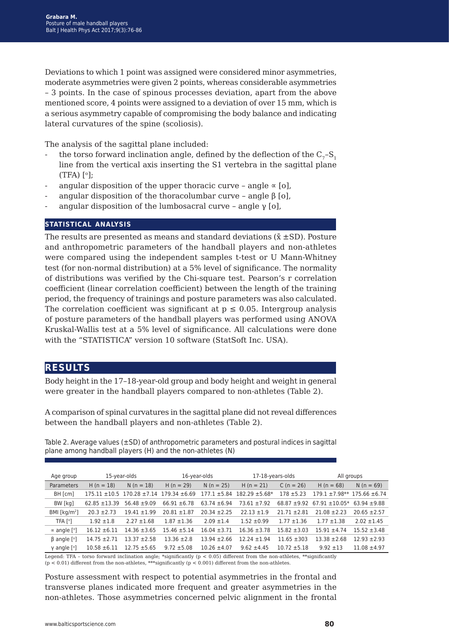Deviations to which 1 point was assigned were considered minor asymmetries, moderate asymmetries were given 2 points, whereas considerable asymmetries – 3 points. In the case of spinous processes deviation, apart from the above mentioned score, 4 points were assigned to a deviation of over 15 mm, which is a serious asymmetry capable of compromising the body balance and indicating

The analysis of the sagittal plane included:

lateral curvatures of the spine (scoliosis).

- the torso forward inclination angle, defined by the deflection of the  $C_7$ –S<sub>1</sub> line from the vertical axis inserting the S1 vertebra in the sagittal plane  $(TFA)$  [ $^{\circ}$ ]:
- angular disposition of the upper thoracic curve angle  $\alpha$  [o],
- angular disposition of the thoracolumbar curve angle β [o],
- angular disposition of the lumbosacral curve angle γ [o],

#### **statistical analysis**

The results are presented as means and standard deviations  $(\bar{x} \pm SD)$ . Posture and anthropometric parameters of the handball players and non-athletes were compared using the independent samples t-test or U Mann-Whitney test (for non-normal distribution) at a 5% level of significance. The normality of distributions was verified by the Chi-square test. Pearson's r correlation coefficient (linear correlation coefficient) between the length of the training period, the frequency of trainings and posture parameters was also calculated. The correlation coefficient was significant at  $p \le 0.05$ . Intergroup analysis of posture parameters of the handball players was performed using ANOVA Kruskal-Wallis test at a 5% level of significance. All calculations were done with the "STATISTICA" version 10 software (StatSoft Inc. USA).

## **results**

Body height in the 17–18-year-old group and body height and weight in general were greater in the handball players compared to non-athletes (Table 2).

A comparison of spinal curvatures in the sagittal plane did not reveal differences between the handball players and non-athletes (Table 2).

Table 2. Average values (±SD) of anthropometric parameters and postural indices in sagittal plane among handball players (H) and the non-athletes (N)

| Age group                           | 15-year-olds     |                                     | 16-year-olds      |                  | 17-18-years-olds    |                  | All groups                           |                  |
|-------------------------------------|------------------|-------------------------------------|-------------------|------------------|---------------------|------------------|--------------------------------------|------------------|
| Parameters                          | $H (n = 18)$     | $N(n = 18)$                         | $H (n = 29)$      | $N(n = 25)$      | $H (n = 21)$        | $C (n = 26)$     | $H (n = 68)$                         | $N(n = 69)$      |
| BH [cm]                             |                  | $175.11 \pm 10.5$ 170.28 $\pm 7.14$ | $179.34 \pm 6.69$ | $177.1 \pm 5.84$ | $182.29 \pm 5.68^*$ | $178 + 5.23$     | $179.1 \pm 7.98**$ 175.66 $\pm$ 6.74 |                  |
| BW [kg]                             | $62.85 + 13.39$  | $56.48 \pm 9.09$                    | $66.91 \pm 6.78$  | $63.74 \pm 6.94$ | $73.61 + 7.92$      | $68.87 + 9.92$   | $67.91 \pm 10.05*$ 63.94 $\pm 9.88$  |                  |
| BMI [ $kg/m2$ ]                     | $20.3 \pm 2.73$  | $19.41 \pm 1.99$                    | $20.81 \pm 1.87$  | $20.34 \pm 2.25$ | $22.13 \pm 1.9$     | $21.71 \pm 2.81$ | $21.08 \pm 2.23$                     | $20.65 \pm 2.57$ |
| TFA [°]                             | $1.92 \pm 1.8$   | $2.27 \pm 1.68$                     | $1.87 \pm 1.36$   | $2.09 \pm 1.4$   | $1.52 \pm 0.99$     | $1.77 \pm 1.36$  | $1.77 \pm 1.38$                      | $2.02 \pm 1.45$  |
| $\propto$ angle [°]                 | $16.12 \pm 6.11$ | $14.36 \pm 3.65$                    | $15.46 \pm 5.14$  | $16.04 \pm 3.71$ | $16.36 \pm 3.78$    | $15.82 \pm 3.03$ | $15.91 \pm 4.74$                     | $15.52 \pm 3.48$ |
| $\beta$ angle $\lceil \circ \rceil$ | $14.75 \pm 2.71$ | $13.37 + 2.58$                      | $13.36 \pm 2.8$   | $13.94 \pm 2.66$ | $12.24 \pm 1.94$    | $11.65 \pm 303$  | $13.38 + 2.68$                       | $12.93 \pm 2.93$ |
| $\gamma$ angle [ $^{\circ}$ ]       | $10.58 \pm 6.11$ | $12.75 \pm 5.65$                    | $9.72 \pm 5.08$   | $10.26 \pm 4.07$ | $9.62 \pm 4.45$     | $10.72 \pm 5.18$ | $9.92 + 13$                          | $11.08 \pm 4.97$ |

Legend: TFA – torso forward inclination angle; \*significantly (p < 0.05) different from the non-athletes, \*\*significantly

 $(p < 0.01)$  different from the non-athletes, \*\*\* significantly  $(p < 0.001)$  different from the non-athletes.

Posture assessment with respect to potential asymmetries in the frontal and transverse planes indicated more frequent and greater asymmetries in the non-athletes. Those asymmetries concerned pelvic alignment in the frontal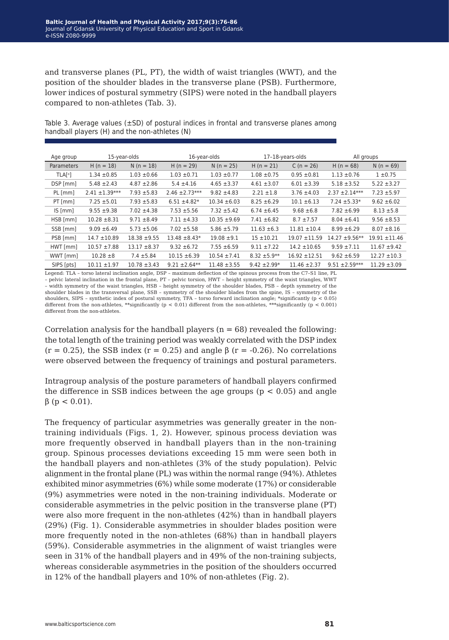and transverse planes (PL, PT), the width of waist triangles (WWT), and the position of the shoulder blades in the transverse plane (PSB). Furthermore, lower indices of postural symmetry (SIPS) were noted in the handball players compared to non-athletes (Tab. 3).

Table 3. Average values  $(\pm SD)$  of postural indices in frontal and transverse planes among handball players (H) and the non-athletes (N)

| Age group                  | 15-year-olds       |                  | 16-year-olds       |                  | 17-18-years-olds |                   | All groups         |                   |
|----------------------------|--------------------|------------------|--------------------|------------------|------------------|-------------------|--------------------|-------------------|
| Parameters                 | $H(n = 18)$        | $N(n = 18)$      | $H (n = 29)$       | $N(n = 25)$      | $H (n = 21)$     | $C (n = 26)$      | $H (n = 68)$       | $N(n = 69)$       |
| <b>TLAI</b> <sup>o</sup> ] | $1.34 \pm 0.85$    | $1.03 \pm 0.66$  | $1.03 \pm 0.71$    | $1.03 \pm 0.77$  | $1.08 \pm 0.75$  | $0.95 \pm 0.81$   | $1.13 \pm 0.76$    | $1 \pm 0.75$      |
| DSP [mm]                   | $5.48 \pm 2.43$    | $4.87 \pm 2.86$  | $5.4 \pm 4.16$     | $4.65 \pm 3.37$  | $4.61 \pm 3.07$  | $6.01 \pm 3.39$   | $5.18 \pm 3.52$    | $5.22 \pm 3.27$   |
| PL [mm]                    | $2.41 \pm 1.39***$ | $7.93 + 5.83$    | $2.46 \pm 2.73***$ | $9.82 \pm 4.83$  | $2.21 \pm 1.8$   | $3.76 \pm 4.03$   | $2.37 \pm 2.14***$ | $7.23 + 5.97$     |
| PT[mm]                     | $7.25 \pm 5.01$    | $7.93 + 5.83$    | $6.51 \pm 4.82*$   | $10.34 \pm 6.03$ | $8.25 \pm 6.29$  | $10.1 \pm 6.13$   | $7.24 \pm 5.33*$   | $9.62 \pm 6.02$   |
| IS [mm]                    | $9.55 \pm 9.38$    | $7.02 \pm 4.38$  | $7.53 + 5.56$      | $7.32 \pm 5.42$  | $6.74 \pm 6.45$  | $9.68 \pm 6.8$    | $7.82 \pm 6.99$    | $8.13 \pm 5.8$    |
| HSB [mm]                   | $10.28 \pm 8.31$   | $9.71 \pm 8.49$  | $7.11 \pm 4.33$    | $10.35 \pm 9.69$ | $7.41 \pm 6.82$  | $8.7 \pm 7.57$    | $8.04 \pm 6.41$    | $9.56 \pm 8.53$   |
| SSB [mm]                   | $9.09 \pm 6.49$    | $5.73 \pm 5.06$  | $7.02 \pm 5.58$    | $5.86 \pm 5.79$  | $11.63 \pm 6.3$  | $11.81 \pm 10.4$  | $8.99 \pm 6.29$    | $8.07 \pm 8.16$   |
| PSB [mm]                   | $14.7 \pm 10.89$   | $18.38 + 9.55$   | $13.48 \pm 8.43*$  | $19.08 + 9.1$    | $15 + 10.21$     | $19.07 \pm 11.59$ | $14.27 + 9.56**$   | $19.91 \pm 11.46$ |
| HWT[mm]                    | $10.57 \pm 7.88$   | $13.17 \pm 8.37$ | $9.32 \pm 6.72$    | $7.55 \pm 6.59$  | $9.11 \pm 7.22$  | $14.2 \pm 10.65$  | $9.59 \pm 7.11$    | $11.67 \pm 9.42$  |
| WWT [mm]                   | $10.28 \pm 8$      | $7.4 \pm 5.84$   | $10.15 \pm 6.39$   | $10.54 \pm 7.41$ | $8.32 + 5.9**$   | $16.92 \pm 12.51$ | $9.62 \pm 6.59$    | $12.27 \pm 10.3$  |
| SIPS [pts]                 | $10.11 \pm 1.97$   | $10.78 \pm 3.43$ | $9.21 \pm 2.64**$  | $11.48 \pm 3.55$ | $9.42 \pm 2.99*$ | $11.46 \pm 2.37$  | $9.51 + 2.59***$   | $11.29 \pm 3.09$  |

Legend: TLA – torso lateral inclination angle, DSP – maximum deflection of the spinous process from the C7–S1 line, PL – pelvic lateral inclination in the frontal plane, PT – pelvic torsion, HWT – height symmetry of the waist triangles, WWT – width symmetry of the waist triangles, HSB – height symmetry of the shoulder blades, PSB – depth symmetry of the shoulder blades in the transversal plane, SSB – symmetry of the shoulder blades from the spine, IS – symmetry of the shoulders, SIPS – synthetic index of postural symmetry, TFA – torso forward inclination angle; \*significantly (p < 0.05) different from the non-athletes, \*\*significantly ( $p < 0.01$ ) different from the non-athletes, \*\*\*significantly ( $p < 0.001$ ) different from the non-athletes.

Correlation analysis for the handball players ( $n = 68$ ) revealed the following: the total length of the training period was weakly correlated with the DSP index (r = 0.25), the SSB index (r = 0.25) and angle  $\beta$  (r = -0.26). No correlations were observed between the frequency of trainings and postural parameters.

Intragroup analysis of the posture parameters of handball players confirmed the difference in SSB indices between the age groups  $(p < 0.05)$  and angle  $β$  ( $p < 0.01$ ).

The frequency of particular asymmetries was generally greater in the nontraining individuals (Figs. 1, 2). However, spinous process deviation was more frequently observed in handball players than in the non-training group. Spinous processes deviations exceeding 15 mm were seen both in the handball players and non-athletes (3% of the study population). Pelvic alignment in the frontal plane (PL) was within the normal range (94%). Athletes exhibited minor asymmetries (6%) while some moderate (17%) or considerable (9%) asymmetries were noted in the non-training individuals. Moderate or considerable asymmetries in the pelvic position in the transverse plane (PT) were also more frequent in the non-athletes (42%) than in handball players (29%) (Fig. 1). Considerable asymmetries in shoulder blades position were more frequently noted in the non-athletes (68%) than in handball players (59%). Considerable asymmetries in the alignment of waist triangles were seen in 31% of the handball players and in 49% of the non-training subjects, whereas considerable asymmetries in the position of the shoulders occurred in 12% of the handball players and 10% of non-athletes (Fig. 2).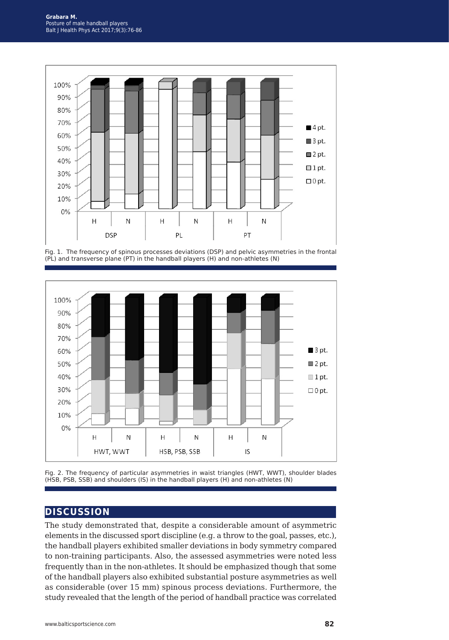

Fig. 1. The frequency of spinous processes deviations (DSP) and pelvic asymmetries in the frontal (PL) and transverse plane (PT) in the handball players (H) and non-athletes (N)





## **discussion**

The study demonstrated that, despite a considerable amount of asymmetric elements in the discussed sport discipline (e.g. a throw to the goal, passes, etc.), the handball players exhibited smaller deviations in body symmetry compared to non-training participants. Also, the assessed asymmetries were noted less frequently than in the non-athletes. It should be emphasized though that some of the handball players also exhibited substantial posture asymmetries as well as considerable (over 15 mm) spinous process deviations. Furthermore, the study revealed that the length of the period of handball practice was correlated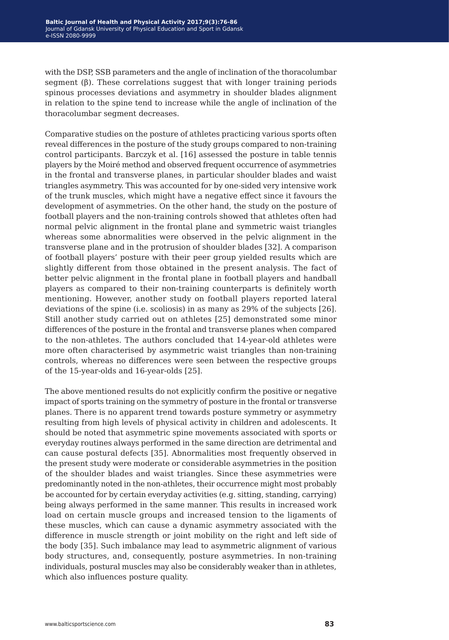with the DSP, SSB parameters and the angle of inclination of the thoracolumbar segment (β). These correlations suggest that with longer training periods spinous processes deviations and asymmetry in shoulder blades alignment in relation to the spine tend to increase while the angle of inclination of the thoracolumbar segment decreases.

Comparative studies on the posture of athletes practicing various sports often reveal differences in the posture of the study groups compared to non-training control participants. Barczyk et al. [16] assessed the posture in table tennis players by the Moiré method and observed frequent occurrence of asymmetries in the frontal and transverse planes, in particular shoulder blades and waist triangles asymmetry. This was accounted for by one-sided very intensive work of the trunk muscles, which might have a negative effect since it favours the development of asymmetries. On the other hand, the study on the posture of football players and the non-training controls showed that athletes often had normal pelvic alignment in the frontal plane and symmetric waist triangles whereas some abnormalities were observed in the pelvic alignment in the transverse plane and in the protrusion of shoulder blades [32]. A comparison of football players' posture with their peer group yielded results which are slightly different from those obtained in the present analysis. The fact of better pelvic alignment in the frontal plane in football players and handball players as compared to their non-training counterparts is definitely worth mentioning. However, another study on football players reported lateral deviations of the spine (i.e. scoliosis) in as many as 29% of the subjects [26]. Still another study carried out on athletes [25] demonstrated some minor differences of the posture in the frontal and transverse planes when compared to the non-athletes. The authors concluded that 14-year-old athletes were more often characterised by asymmetric waist triangles than non-training controls, whereas no differences were seen between the respective groups of the 15-year-olds and 16-year-olds [25].

The above mentioned results do not explicitly confirm the positive or negative impact of sports training on the symmetry of posture in the frontal or transverse planes. There is no apparent trend towards posture symmetry or asymmetry resulting from high levels of physical activity in children and adolescents. It should be noted that asymmetric spine movements associated with sports or everyday routines always performed in the same direction are detrimental and can cause postural defects [35]. Abnormalities most frequently observed in the present study were moderate or considerable asymmetries in the position of the shoulder blades and waist triangles. Since these asymmetries were predominantly noted in the non-athletes, their occurrence might most probably be accounted for by certain everyday activities (e.g. sitting, standing, carrying) being always performed in the same manner. This results in increased work load on certain muscle groups and increased tension to the ligaments of these muscles, which can cause a dynamic asymmetry associated with the difference in muscle strength or joint mobility on the right and left side of the body [35]. Such imbalance may lead to asymmetric alignment of various body structures, and, consequently, posture asymmetries. In non-training individuals, postural muscles may also be considerably weaker than in athletes, which also influences posture quality.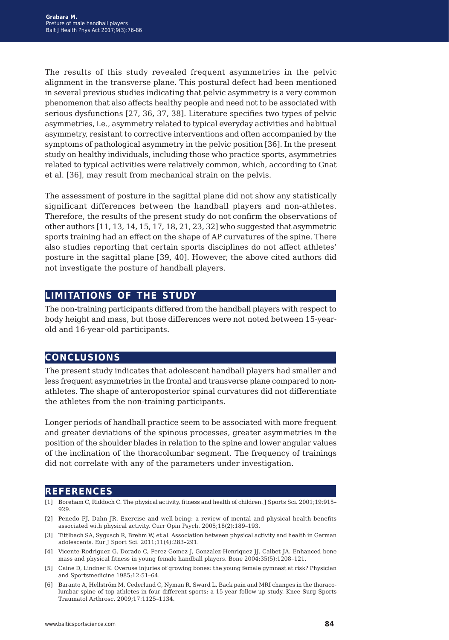The results of this study revealed frequent asymmetries in the pelvic alignment in the transverse plane. This postural defect had been mentioned in several previous studies indicating that pelvic asymmetry is a very common phenomenon that also affects healthy people and need not to be associated with serious dysfunctions [27, 36, 37, 38]. Literature specifies two types of pelvic asymmetries, i.e., asymmetry related to typical everyday activities and habitual asymmetry, resistant to corrective interventions and often accompanied by the symptoms of pathological asymmetry in the pelvic position [36]. In the present study on healthy individuals, including those who practice sports, asymmetries related to typical activities were relatively common, which, according to Gnat et al. [36], may result from mechanical strain on the pelvis.

The assessment of posture in the sagittal plane did not show any statistically significant differences between the handball players and non-athletes. Therefore, the results of the present study do not confirm the observations of other authors [11, 13, 14, 15, 17, 18, 21, 23, 32] who suggested that asymmetric sports training had an effect on the shape of AP curvatures of the spine. There also studies reporting that certain sports disciplines do not affect athletes' posture in the sagittal plane [39, 40]. However, the above cited authors did not investigate the posture of handball players.

## **limitations of the study**

The non-training participants differed from the handball players with respect to body height and mass, but those differences were not noted between 15-yearold and 16-year-old participants.

## **conclusions**

The present study indicates that adolescent handball players had smaller and less frequent asymmetries in the frontal and transverse plane compared to nonathletes. The shape of anteroposterior spinal curvatures did not differentiate the athletes from the non-training participants.

Longer periods of handball practice seem to be associated with more frequent and greater deviations of the spinous processes, greater asymmetries in the position of the shoulder blades in relation to the spine and lower angular values of the inclination of the thoracolumbar segment. The frequency of trainings did not correlate with any of the parameters under investigation.

## **references**

- [1] Boreham C, Riddoch C. The physical activity, fitness and health of children. J Sports Sci. 2001;19:915– 929.
- [2] Penedo FJ, Dahn JR. Exercise and well-being: a review of mental and physical health benefits associated with physical activity. Curr Opin Psych. 2005;18(2):189–193.
- [3] Tittlbach SA, Sygusch R, Brehm W, et al. Association between physical activity and health in German adolescents. Eur J Sport Sci. 2011;11(4):283–291.
- [4] Vicente-Rodriguez G, Dorado C, Perez-Gomez J, Gonzalez-Henriquez JJ, Calbet JA. Enhanced bone mass and physical fitness in young female handball players. Bone 2004;35(5):1208–121.
- [5] Caine D, Lindner K. Overuse injuries of growing bones: the young female gymnast at risk? Physician and Sportsmedicine 1985;12:51–64.
- [6] Baranto A, Hellström M, Cederlund C, Nyman R, Sward L. Back pain and MRI changes in the thoracolumbar spine of top athletes in four different sports: a 15-year follow-up study. Knee Surg Sports Traumatol Arthrosc. 2009;17:1125–1134.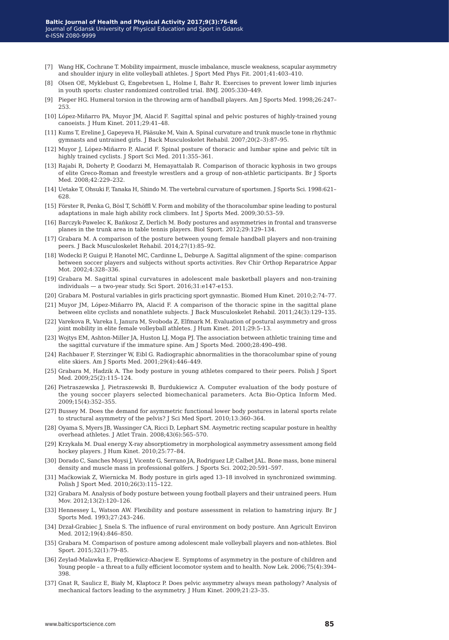- [7] Wang HK, Cochrane T. Mobility impairment, muscle imbalance, muscle weakness, scapular asymmetry and shoulder injury in elite volleyball athletes. J Sport Med Phys Fit. 2001;41:403–410.
- [8] Olsen OE, Myklebust G, Engebretsen L, Holme I, Bahr R. Exercises to prevent lower limb injuries in youth sports: cluster randomized controlled trial. BMJ. 2005:330–449.
- [9] Pieper HG. Humeral torsion in the throwing arm of handball players. Am J Sports Med. 1998;26:247– 253.
- [10] López-Miñarro PA, Muyor JM, Alacid F. Sagittal spinal and pelvic postures of highly-trained young canoeists. J Hum Kinet. 2011;29:41–48.
- [11] Kums T, Ereline J, Gapeyeva H, Pääsuke M, Vain A. Spinal curvature and trunk muscle tone in rhythmic gymnasts and untrained girls. J Back Musculoskelet Rehabil. 2007;20(2–3):87–95.
- [12] Muyor J, López-Miñarro P, Alacid F. Spinal posture of thoracic and lumbar spine and pelvic tilt in highly trained cyclists. J Sport Sci Med. 2011:355–361.
- [13] Rajabi R, Doherty P, Goodarzi M, Hemayattalab R. Comparison of thoracic kyphosis in two groups of elite Greco-Roman and freestyle wrestlers and a group of non-athletic participants. Br J Sports Med. 2008;42:229–232.
- [14] Uetake T, Ohsuki F, Tanaka H, Shindo M. The vertebral curvature of sportsmen. J Sports Sci. 1998:621– 628.
- [15] Förster R, Penka G, Bösl T, Schöffl V. Form and mobility of the thoracolumbar spine leading to postural adaptations in male high ability rock climbers. Int J Sports Med. 2009;30:53–59.
- [16] Barczyk-Pawelec K, Bańkosz Z, Derlich M. Body postures and asymmetries in frontal and transverse planes in the trunk area in table tennis players. Biol Sport. 2012;29:129–134.
- [17] Grabara M. A comparison of the posture between young female handball players and non-training peers. J Back Musculoskelet Rehabil. 2014;27(1):85–92.
- [18] Wodecki P, Guigui P, Hanotel MC, Cardinne L, Deburge A. Sagittal alignment of the spine: comparison between soccer players and subjects without sports activities. Rev Chir Orthop Reparatrice Appar Mot. 2002;4:328–336.
- [19] Grabara M. Sagittal spinal curvatures in adolescent male basketball players and non-training individuals — a two-year study. Sci Sport. 2016;31:e147-e153.
- [20] Grabara M. Postural variables in girls practicing sport gymnastic. Biomed Hum Kinet. 2010;2:74–77.
- [21] Muyor JM, López-Miñarro PA, Alacid F. A comparison of the thoracic spine in the sagittal plane between elite cyclists and nonathlete subjects. J Back Musculoskelet Rehabil. 2011;24(3):129–135.
- [22] Varekova R, Vareka I, Janura M, Svoboda Z, Elfmark M. Evaluation of postural asymmetry and gross joint mobility in elite female volleyball athletes. J Hum Kinet. 2011;29:5–13.
- [23] Wojtys EM, Ashton-Miller JA, Huston LJ, Moga PJ. The association between athletic training time and the sagittal curvature if the immature spine. Am J Sports Med. 2000;28:490–498.
- [24] Rachbauer F, Sterzinger W, Eibl G. Radiographic abnormalities in the thoracolumbar spine of young elite skiers. Am J Sports Med. 2001;29(4):446–449.
- [25] Grabara M, Hadzik A. The body posture in young athletes compared to their peers. Polish J Sport Med. 2009;25(2):115–124.
- [26] Pietraszewska J, Pietraszewski B, Burdukiewicz A. Computer evaluation of the body posture of the young soccer players selected biomechanical parameters. Acta Bio-Optica Inform Med. 2009;15(4):352–355.
- [27] Bussey M. Does the demand for asymmetric functional lower body postures in lateral sports relate to structural asymmetry of the pelvis? J Sci Med Sport. 2010;13:360–364.
- [28] Oyama S, Myers JB, Wassinger CA, Ricci D, Lephart SM. Asymetric recting scapular posture in healthy overhead athletes. J Atlet Train. 2008;43(6):565–570.
- [29] Krzykała M. Dual energy X-ray absorptiometry in morphological asymmetry assessment among field hockey players. J Hum Kinet. 2010;25:77–84.
- [30] Dorado C, Sanches Moysi J, Vicente G, Serrano JA, Rodriguez LP, Calbet JAL. Bone mass, bone mineral density and muscle mass in professional golfers. J Sports Sci. 2002;20:591–597.
- [31] Maćkowiak Z, Wiernicka M. Body posture in girls aged 13–18 involved in synchronized swimming. Polish J Sport Med. 2010;26(3):115–122.
- [32] Grabara M. Analysis of body posture between young football players and their untrained peers. Hum Mov. 2012;13(2):120–126.
- [33] Hennessey L, Watson AW. Flexibility and posture assessment in relation to hamstring injury. Br J Sports Med. 1993;27:243–246.
- [34] Drzał-Grabiec J, Snela S. The influence of rural environment on body posture. Ann Agricult Environ Med. 2012;19(4):846–850.
- [35] Grabara M. Comparison of posture among adolescent male volleyball players and non-athletes. Biol Sport. 2015;32(1):79–85.
- [36] Zeylad-Malawka E, Prędkiewicz-Abacjew E. Symptoms of asymmetry in the posture of children and Young people – a threat to a fully efficient locomotor system and to health. Now Lek. 2006;75(4):394– 398.
- [37] Gnat R, Saulicz E, Biały M, Kłaptocz P. Does pelvic asymmetry always mean pathology? Analysis of mechanical factors leading to the asymmetry. J Hum Kinet. 2009;21:23–35.